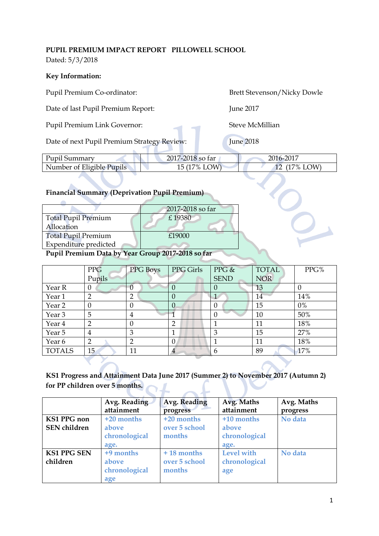## **PUPIL PREMIUM IMPACT REPORT PILLOWELL SCHOOL**

Dated: 5/3/2018

## **Key Information:**

| Pupil Premium Co-ordinator:                                                                                                                                                                                                                          |                  |                |                  |                | <b>Brett Stevenson/Nicky Dowle</b> |              |  |
|------------------------------------------------------------------------------------------------------------------------------------------------------------------------------------------------------------------------------------------------------|------------------|----------------|------------------|----------------|------------------------------------|--------------|--|
| Date of last Pupil Premium Report:                                                                                                                                                                                                                   |                  |                |                  |                | <b>June 2017</b>                   |              |  |
| Pupil Premium Link Governor:                                                                                                                                                                                                                         |                  |                |                  |                | <b>Steve McMillian</b>             |              |  |
| Date of next Pupil Premium Strategy Review:                                                                                                                                                                                                          |                  |                |                  |                | <b>June 2018</b>                   |              |  |
| Pupil Summary                                                                                                                                                                                                                                        |                  |                | 2017-2018 so far |                | 2016-2017                          |              |  |
| Number of Eligible Pupils                                                                                                                                                                                                                            |                  |                | 15 (17% LOW)     |                | 12                                 | $(17\%$ LOW) |  |
| <b>Financial Summary (Deprivation Pupil Premium)</b><br>2017-2018 so far<br><b>Total Pupil Premium</b><br>£19380<br>Allocation<br><b>Total Pupil Premium</b><br>£19000<br>Expenditure predicted<br>Pupil Premium Data by Year Group 2017-2018 so far |                  |                |                  |                |                                    |              |  |
|                                                                                                                                                                                                                                                      | <b>PPG</b>       | PPG Boys       | PPG Girls        | PPG &          | <b>TOTAL</b>                       | PPG%         |  |
|                                                                                                                                                                                                                                                      | Pupils           |                |                  | <b>SEND</b>    | <b>NOR</b>                         |              |  |
| Year R                                                                                                                                                                                                                                               | $\boldsymbol{0}$ | $\overline{0}$ | $\overline{0}$   | $\theta$       | 13                                 | $\theta$     |  |
| Year 1                                                                                                                                                                                                                                               | $\overline{2}$   | $\overline{2}$ | $\overline{0}$   | $\overline{1}$ | 14                                 | 14%          |  |
| Year <sub>2</sub>                                                                                                                                                                                                                                    | $\boldsymbol{0}$ | $\theta$       | $\overline{0}$   | $\theta$       | 15                                 | $0\%$        |  |
| Year <sub>3</sub>                                                                                                                                                                                                                                    | 5                | $\overline{4}$ |                  | $\mathbf{0}$   | 10                                 | 50%          |  |
| Year 4                                                                                                                                                                                                                                               | $\overline{2}$   | $\mathbf{0}$   | $\overline{2}$   | $\mathbf{1}$   | 11                                 | 18%          |  |
| Year 5                                                                                                                                                                                                                                               | $\overline{4}$   | 3              | 1                | $\mathfrak{Z}$ | 15                                 | 27%          |  |

## **KS1 Progress and Attainment Data June 2017 (Summer 2) to November 2017 (Autumn 2) for PP children over 5 months.**

Year 6  $\begin{vmatrix} 2 & 2 \\ 2 & 0 \end{vmatrix}$  11  $\begin{vmatrix} 11 & 18\% \\ 11 & 18\% \end{vmatrix}$ TOTALS 15 11 4 6 89 17%

|                     | Avg. Reading  | Avg. Reading  | Avg. Maths    | Avg. Maths |
|---------------------|---------------|---------------|---------------|------------|
|                     | attainment    | progress      | attainment    | progress   |
| <b>KS1 PPG</b> non  | $+20$ months  | +20 months    | +10 months    | No data    |
| <b>SEN</b> children | above         | over 5 school | above         |            |
|                     | chronological | months        | chronological |            |
|                     | age.          |               | age.          |            |
| <b>KS1 PPG SEN</b>  | +9 months     | $+18$ months  | Level with    | No data    |
| children            | above         | over 5 school | chronological |            |
|                     | chronological | months        | age           |            |
|                     | age           |               |               |            |